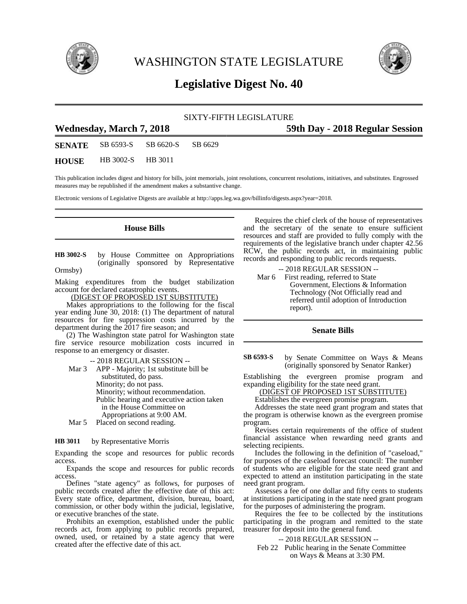

WASHINGTON STATE LEGISLATURE



# **Legislative Digest No. 40**

## SIXTY-FIFTH LEGISLATURE

## **Wednesday, March 7, 2018 59th Day - 2018 Regular Session**

**SENATE** SB 6593-S SB 6620-S SB 6629

**HOUSE** HB 3002-S HB 3011

This publication includes digest and history for bills, joint memorials, joint resolutions, concurrent resolutions, initiatives, and substitutes. Engrossed measures may be republished if the amendment makes a substantive change.

Electronic versions of Legislative Digests are available at http://apps.leg.wa.gov/billinfo/digests.aspx?year=2018.

## **House Bills**

by House Committee on Appropriations (originally sponsored by Representative Ormsby) **HB 3002-S**

Making expenditures from the budget stabilization account for declared catastrophic events.

(DIGEST OF PROPOSED 1ST SUBSTITUTE)

Makes appropriations to the following for the fiscal year ending June 30, 2018: (1) The department of natural resources for fire suppression costs incurred by the department during the 2017 fire season; and

(2) The Washington state patrol for Washington state fire service resource mobilization costs incurred in response to an emergency or disaster.

-- 2018 REGULAR SESSION -- Mar 3 APP - Majority; 1st substitute bill be substituted, do pass. Minority; do not pass. Minority; without recommendation. Public hearing and executive action taken in the House Committee on Appropriations at 9:00 AM. Mar 5 Placed on second reading.

by Representative Morris **HB 3011**

Expanding the scope and resources for public records access.

Expands the scope and resources for public records access.

Defines "state agency" as follows, for purposes of public records created after the effective date of this act: Every state office, department, division, bureau, board, commission, or other body within the judicial, legislative, or executive branches of the state.

Prohibits an exemption, established under the public records act, from applying to public records prepared, owned, used, or retained by a state agency that were created after the effective date of this act.

Requires the chief clerk of the house of representatives and the secretary of the senate to ensure sufficient resources and staff are provided to fully comply with the requirements of the legislative branch under chapter 42.56 RCW, the public records act, in maintaining public records and responding to public records requests.

-- 2018 REGULAR SESSION -- Mar 6 First reading, referred to State Government, Elections & Information Technology (Not Officially read and referred until adoption of Introduction report).

## **Senate Bills**

by Senate Committee on Ways & Means (originally sponsored by Senator Ranker) **SB 6593-S**

Establishing the evergreen promise program and expanding eligibility for the state need grant.

(DIGEST OF PROPOSED 1ST SUBSTITUTE)

Establishes the evergreen promise program.

Addresses the state need grant program and states that the program is otherwise known as the evergreen promise program.

Revises certain requirements of the office of student financial assistance when rewarding need grants and selecting recipients.

Includes the following in the definition of "caseload," for purposes of the caseload forecast council: The number of students who are eligible for the state need grant and expected to attend an institution participating in the state need grant program.

Assesses a fee of one dollar and fifty cents to students at institutions participating in the state need grant program for the purposes of administering the program.

Requires the fee to be collected by the institutions participating in the program and remitted to the state treasurer for deposit into the general fund.

-- 2018 REGULAR SESSION --

Feb 22 Public hearing in the Senate Committee on Ways & Means at 3:30 PM.